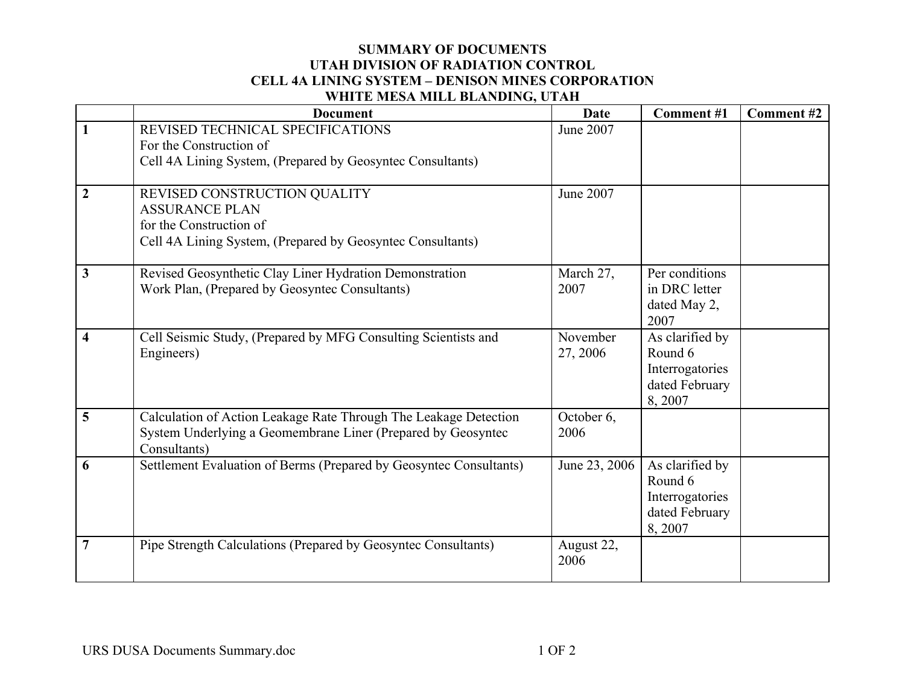## **SUMMARY OF DOCUMENTS UTAH DIVISION OF RADIATION CONTROL CELL 4A LINING SYSTEM – DENISON MINES CORPORATION WHITE MESA MILL BLANDING, UTAH**

|                         | <b>Document</b>                                                                                                                                  | Date                 | Comment#1                                                                 | Comment #2 |
|-------------------------|--------------------------------------------------------------------------------------------------------------------------------------------------|----------------------|---------------------------------------------------------------------------|------------|
|                         | REVISED TECHNICAL SPECIFICATIONS<br>For the Construction of<br>Cell 4A Lining System, (Prepared by Geosyntec Consultants)                        | June 2007            |                                                                           |            |
| $\overline{2}$          | REVISED CONSTRUCTION QUALITY<br><b>ASSURANCE PLAN</b><br>for the Construction of<br>Cell 4A Lining System, (Prepared by Geosyntec Consultants)   | June 2007            |                                                                           |            |
| 3                       | Revised Geosynthetic Clay Liner Hydration Demonstration<br>Work Plan, (Prepared by Geosyntec Consultants)                                        | March 27,<br>2007    | Per conditions<br>in DRC letter<br>dated May 2,<br>2007                   |            |
| $\overline{\mathbf{4}}$ | Cell Seismic Study, (Prepared by MFG Consulting Scientists and<br>Engineers)                                                                     | November<br>27, 2006 | As clarified by<br>Round 6<br>Interrogatories<br>dated February<br>8,2007 |            |
| 5                       | Calculation of Action Leakage Rate Through The Leakage Detection<br>System Underlying a Geomembrane Liner (Prepared by Geosyntec<br>Consultants) | October 6,<br>2006   |                                                                           |            |
| 6                       | Settlement Evaluation of Berms (Prepared by Geosyntec Consultants)                                                                               | June 23, 2006        | As clarified by<br>Round 6<br>Interrogatories<br>dated February<br>8,2007 |            |
| 7                       | Pipe Strength Calculations (Prepared by Geosyntec Consultants)                                                                                   | August 22,<br>2006   |                                                                           |            |